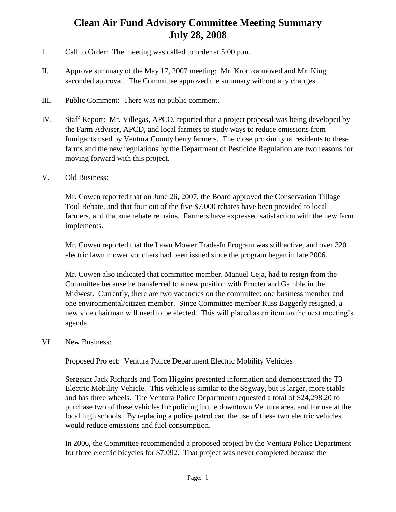# **Clean Air Fund Advisory Committee Meeting Summary July 28, 2008**

- I. Call to Order: The meeting was called to order at 5:00 p.m.
- II. Approve summary of the May 17, 2007 meeting: Mr. Kromka moved and Mr. King seconded approval. The Committee approved the summary without any changes.
- III. Public Comment: There was no public comment.
- IV. Staff Report: Mr. Villegas, APCO, reported that a project proposal was being developed by the Farm Adviser, APCD, and local farmers to study ways to reduce emissions from fumigants used by Ventura County berry farmers. The close proximity of residents to these farms and the new regulations by the Department of Pesticide Regulation are two reasons for moving forward with this project.

### V. Old Business:

Mr. Cowen reported that on June 26, 2007, the Board approved the Conservation Tillage Tool Rebate, and that four out of the five \$7,000 rebates have been provided to local farmers, and that one rebate remains. Farmers have expressed satisfaction with the new farm implements.

Mr. Cowen reported that the Lawn Mower Trade-In Program was still active, and over 320 electric lawn mower vouchers had been issued since the program began in late 2006.

Mr. Cowen also indicated that committee member, Manuel Ceja, had to resign from the Committee because he transferred to a new position with Procter and Gamble in the Midwest. Currently, there are two vacancies on the committee: one business member and one environmental/citizen member. Since Committee member Russ Baggerly resigned, a new vice chairman will need to be elected. This will placed as an item on the next meeting's agenda.

### VI. New Business:

## Proposed Project: Ventura Police Department Electric Mobility Vehicles

Sergeant Jack Richards and Tom Higgins presented information and demonstrated the T3 Electric Mobility Vehicle. This vehicle is similar to the Segway, but is larger, more stable and has three wheels. The Ventura Police Department requested a total of \$24,298.20 to purchase two of these vehicles for policing in the downtown Ventura area, and for use at the local high schools. By replacing a police patrol car, the use of these two electric vehicles would reduce emissions and fuel consumption.

In 2006, the Committee recommended a proposed project by the Ventura Police Department for three electric bicycles for \$7,092. That project was never completed because the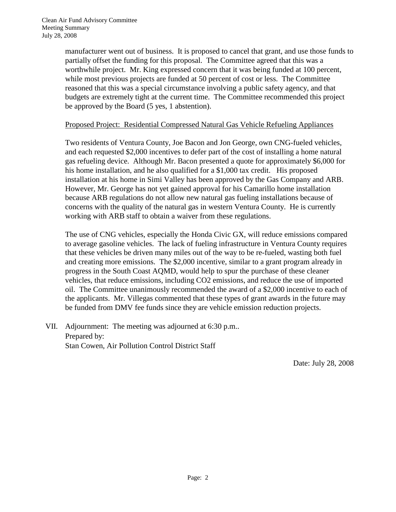manufacturer went out of business. It is proposed to cancel that grant, and use those funds to partially offset the funding for this proposal. The Committee agreed that this was a worthwhile project. Mr. King expressed concern that it was being funded at 100 percent, while most previous projects are funded at 50 percent of cost or less. The Committee reasoned that this was a special circumstance involving a public safety agency, and that budgets are extremely tight at the current time. The Committee recommended this project be approved by the Board (5 yes, 1 abstention).

#### Proposed Project: Residential Compressed Natural Gas Vehicle Refueling Appliances

Two residents of Ventura County, Joe Bacon and Jon George, own CNG-fueled vehicles, and each requested \$2,000 incentives to defer part of the cost of installing a home natural gas refueling device. Although Mr. Bacon presented a quote for approximately \$6,000 for his home installation, and he also qualified for a \$1,000 tax credit. His proposed installation at his home in Simi Valley has been approved by the Gas Company and ARB. However, Mr. George has not yet gained approval for his Camarillo home installation because ARB regulations do not allow new natural gas fueling installations because of concerns with the quality of the natural gas in western Ventura County. He is currently working with ARB staff to obtain a waiver from these regulations.

The use of CNG vehicles, especially the Honda Civic GX, will reduce emissions compared to average gasoline vehicles. The lack of fueling infrastructure in Ventura County requires that these vehicles be driven many miles out of the way to be re-fueled, wasting both fuel and creating more emissions. The \$2,000 incentive, similar to a grant program already in progress in the South Coast AQMD, would help to spur the purchase of these cleaner vehicles, that reduce emissions, including CO2 emissions, and reduce the use of imported oil. The Committee unanimously recommended the award of a \$2,000 incentive to each of the applicants. Mr. Villegas commented that these types of grant awards in the future may be funded from DMV fee funds since they are vehicle emission reduction projects.

VII. Adjournment: The meeting was adjourned at 6:30 p.m.. Prepared by: Stan Cowen, Air Pollution Control District Staff

Date: July 28, 2008